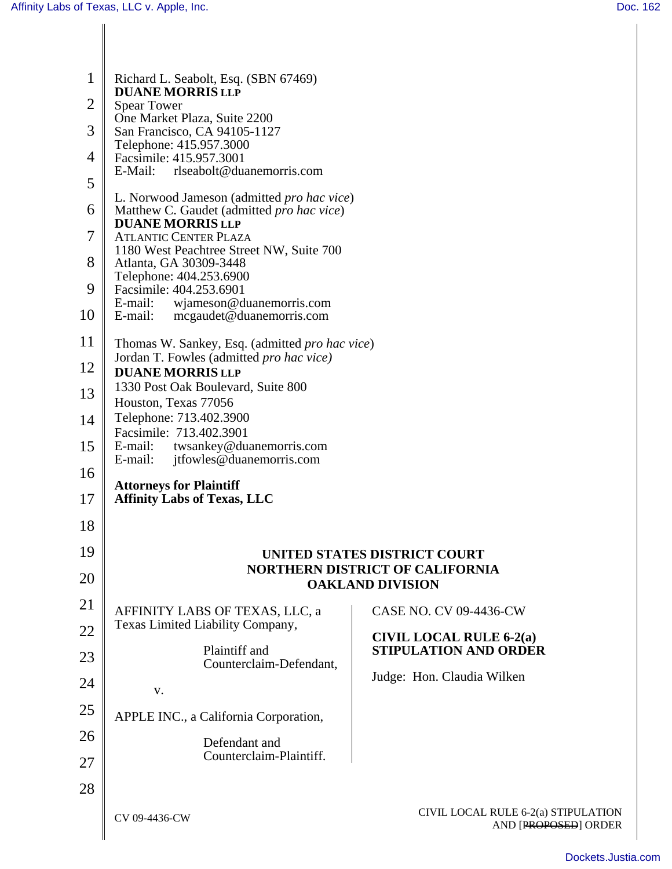| 1<br>$\overline{2}$<br>3<br>4<br>5<br>6<br>7<br>8              | Richard L. Seabolt, Esq. (SBN 67469)<br><b>DUANE MORRIS LLP</b><br><b>Spear Tower</b><br>One Market Plaza, Suite 2200<br>San Francisco, CA 94105-1127<br>Telephone: 415.957.3000<br>Facsimile: 415.957.3001<br>rlseabolt@duanemorris.com<br>E-Mail:<br>L. Norwood Jameson (admitted <i>pro hac vice</i> )<br>Matthew C. Gaudet (admitted pro hac vice)<br><b>DUANE MORRIS LLP</b><br><b>ATLANTIC CENTER PLAZA</b><br>1180 West Peachtree Street NW, Suite 700<br>Atlanta, GA 30309-3448 |                                                                                                                                                                                                                                    |
|----------------------------------------------------------------|-----------------------------------------------------------------------------------------------------------------------------------------------------------------------------------------------------------------------------------------------------------------------------------------------------------------------------------------------------------------------------------------------------------------------------------------------------------------------------------------|------------------------------------------------------------------------------------------------------------------------------------------------------------------------------------------------------------------------------------|
| 9                                                              | Telephone: 404.253.6900<br>Facsimile: 404.253.6901<br>E-mail:<br>wjameson@duanemorris.com                                                                                                                                                                                                                                                                                                                                                                                               |                                                                                                                                                                                                                                    |
| 10<br>11<br>12<br>13<br>14<br>15<br>16<br>17                   | E-mail:<br>mcgaudet@duanemorris.com<br>Thomas W. Sankey, Esq. (admitted pro hac vice)<br>Jordan T. Fowles (admitted <i>pro hac vice</i> )<br><b>DUANE MORRIS LLP</b><br>1330 Post Oak Boulevard, Suite 800<br>Houston, Texas 77056<br>Telephone: 713.402.3900<br>Facsimile: 713.402.3901<br>twsankey@duanemorris.com<br>E-mail:<br>E-mail:<br>jtfowles@duanemorris.com<br><b>Attorneys for Plaintiff</b><br><b>Affinity Labs of Texas, LLC</b>                                          |                                                                                                                                                                                                                                    |
| 18<br>19<br>20<br>21<br>22<br>23<br>24<br>25<br>26<br>27<br>28 | AFFINITY LABS OF TEXAS, LLC, a<br>Texas Limited Liability Company,<br>Plaintiff and<br>Counterclaim-Defendant,<br>V.<br>APPLE INC., a California Corporation,<br>Defendant and<br>Counterclaim-Plaintiff.                                                                                                                                                                                                                                                                               | UNITED STATES DISTRICT COURT<br><b>NORTHERN DISTRICT OF CALIFORNIA</b><br><b>OAKLAND DIVISION</b><br><b>CASE NO. CV 09-4436-CW</b><br><b>CIVIL LOCAL RULE 6-2(a)</b><br><b>STIPULATION AND ORDER</b><br>Judge: Hon. Claudia Wilken |
|                                                                | CV 09-4436-CW                                                                                                                                                                                                                                                                                                                                                                                                                                                                           | CIVIL LOCAL RULE 6-2(a) STIPULATION<br>AND [PROPOSED] ORDER                                                                                                                                                                        |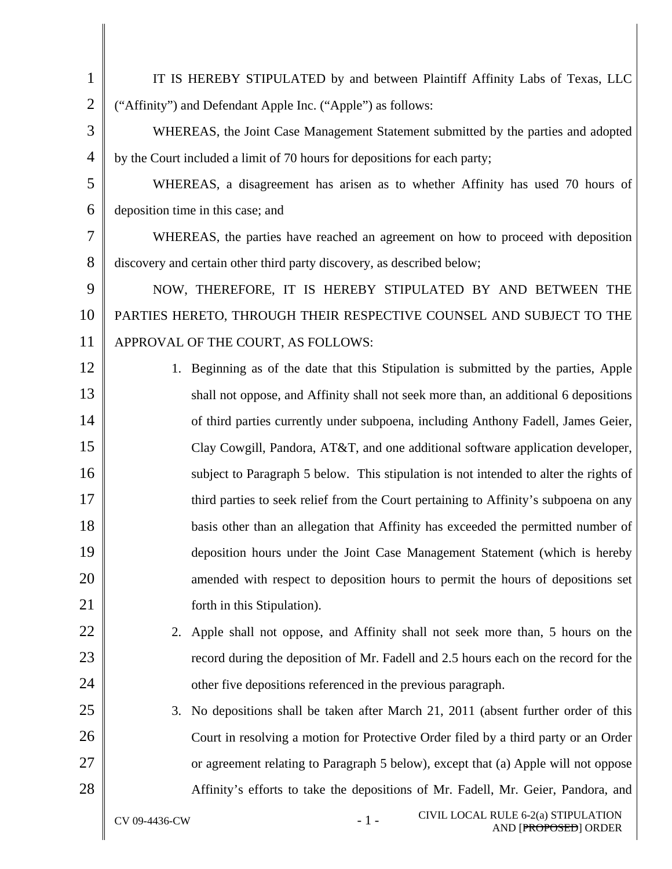| $\mathbf{1}$   | IT IS HEREBY STIPULATED by and between Plaintiff Affinity Labs of Texas, LLC          |  |  |
|----------------|---------------------------------------------------------------------------------------|--|--|
| $\overline{2}$ | ("Affinity") and Defendant Apple Inc. ("Apple") as follows:                           |  |  |
| 3              | WHEREAS, the Joint Case Management Statement submitted by the parties and adopted     |  |  |
| $\overline{4}$ | by the Court included a limit of 70 hours for depositions for each party;             |  |  |
| 5              | WHEREAS, a disagreement has arisen as to whether Affinity has used 70 hours of        |  |  |
| 6              | deposition time in this case; and                                                     |  |  |
| 7              | WHEREAS, the parties have reached an agreement on how to proceed with deposition      |  |  |
| 8              | discovery and certain other third party discovery, as described below;                |  |  |
| 9              | NOW, THEREFORE, IT IS HEREBY STIPULATED BY AND BETWEEN THE                            |  |  |
| 10             | PARTIES HERETO, THROUGH THEIR RESPECTIVE COUNSEL AND SUBJECT TO THE                   |  |  |
| 11             | APPROVAL OF THE COURT, AS FOLLOWS:                                                    |  |  |
| 12             | 1. Beginning as of the date that this Stipulation is submitted by the parties, Apple  |  |  |
| 13             | shall not oppose, and Affinity shall not seek more than, an additional 6 depositions  |  |  |
| 14             | of third parties currently under subpoena, including Anthony Fadell, James Geier,     |  |  |
| 15             | Clay Cowgill, Pandora, AT&T, and one additional software application developer,       |  |  |
| 16             | subject to Paragraph 5 below. This stipulation is not intended to alter the rights of |  |  |
| 17             | third parties to seek relief from the Court pertaining to Affinity's subpoena on any  |  |  |
| 18             | basis other than an allegation that Affinity has exceeded the permitted number of     |  |  |
| 19             | deposition hours under the Joint Case Management Statement (which is hereby           |  |  |
| 20             | amended with respect to deposition hours to permit the hours of depositions set       |  |  |
| 21             | forth in this Stipulation).                                                           |  |  |
| 22             | 2. Apple shall not oppose, and Affinity shall not seek more than, 5 hours on the      |  |  |
| 23             | record during the deposition of Mr. Fadell and 2.5 hours each on the record for the   |  |  |
| 24             | other five depositions referenced in the previous paragraph.                          |  |  |
| 25             | 3. No depositions shall be taken after March 21, 2011 (absent further order of this   |  |  |
| 26             | Court in resolving a motion for Protective Order filed by a third party or an Order   |  |  |
| 27             | or agreement relating to Paragraph 5 below), except that (a) Apple will not oppose    |  |  |
| 28             | Affinity's efforts to take the depositions of Mr. Fadell, Mr. Geier, Pandora, and     |  |  |
|                | CIVIL LOCAL RULE 6-2(a) STIPULATION<br>$-1-$<br>CV 09-4436-CW<br>AND [PROPOSED] ORDER |  |  |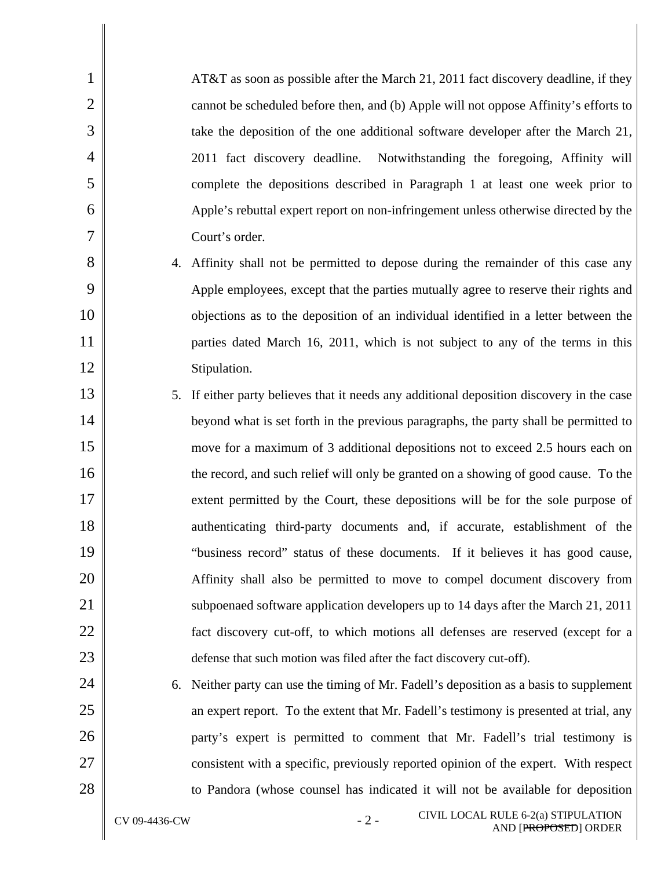| $\mathbf{1}$   |    | AT&T as soon as possible after the March 21, 2011 fact discovery deadline, if they        |
|----------------|----|-------------------------------------------------------------------------------------------|
| $\overline{2}$ |    | cannot be scheduled before then, and (b) Apple will not oppose Affinity's efforts to      |
| 3              |    | take the deposition of the one additional software developer after the March 21,          |
| $\overline{4}$ |    | 2011 fact discovery deadline. Notwithstanding the foregoing, Affinity will                |
| 5              |    | complete the depositions described in Paragraph 1 at least one week prior to              |
| 6              |    | Apple's rebuttal expert report on non-infringement unless otherwise directed by the       |
| 7              |    | Court's order.                                                                            |
| 8              |    | 4. Affinity shall not be permitted to depose during the remainder of this case any        |
| 9              |    | Apple employees, except that the parties mutually agree to reserve their rights and       |
| 10             |    | objections as to the deposition of an individual identified in a letter between the       |
| 11             |    | parties dated March 16, 2011, which is not subject to any of the terms in this            |
| 12             |    | Stipulation.                                                                              |
| 13             |    | 5. If either party believes that it needs any additional deposition discovery in the case |
| 14             |    | beyond what is set forth in the previous paragraphs, the party shall be permitted to      |
| 15             |    | move for a maximum of 3 additional depositions not to exceed 2.5 hours each on            |
| 16             |    | the record, and such relief will only be granted on a showing of good cause. To the       |
| 17             |    | extent permitted by the Court, these depositions will be for the sole purpose of          |
| 18             |    | authenticating third-party documents and, if accurate, establishment of the               |
| 19             |    | "business record" status of these documents. If it believes it has good cause,            |
| 20             |    | Affinity shall also be permitted to move to compel document discovery from                |
| 21             |    | subpoenaed software application developers up to 14 days after the March 21, 2011         |
| 22             |    | fact discovery cut-off, to which motions all defenses are reserved (except for a          |
| 23             |    | defense that such motion was filed after the fact discovery cut-off).                     |
| 24             | 6. | Neither party can use the timing of Mr. Fadell's deposition as a basis to supplement      |
| 25             |    | an expert report. To the extent that Mr. Fadell's testimony is presented at trial, any    |
| 26             |    | party's expert is permitted to comment that Mr. Fadell's trial testimony is               |
| 27             |    | consistent with a specific, previously reported opinion of the expert. With respect       |
| 28             |    | to Pandora (whose counsel has indicated it will not be available for deposition           |
|                |    |                                                                                           |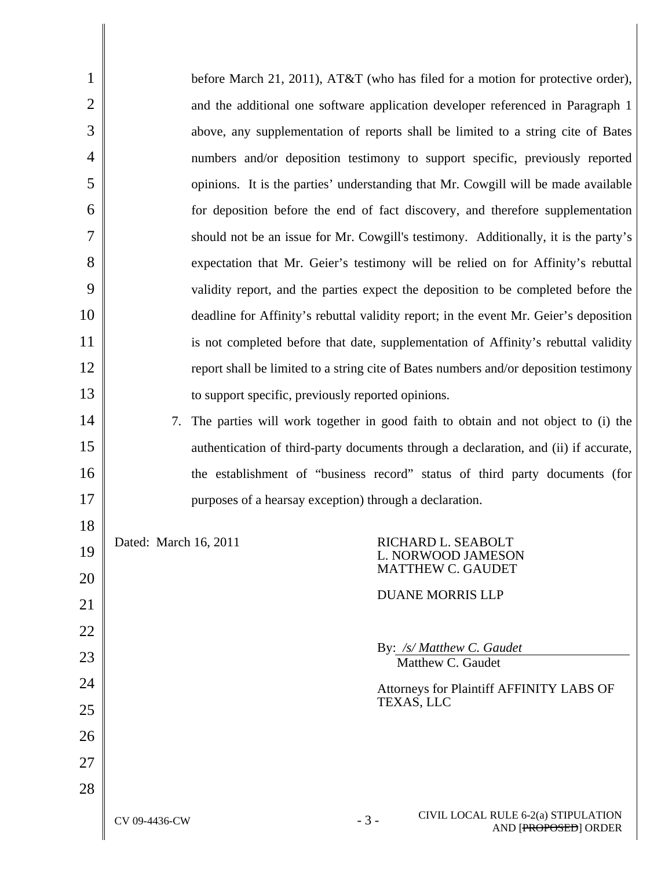| $\mathbf{1}$   | before March 21, 2011), AT&T (who has filed for a motion for protective order),               |  |
|----------------|-----------------------------------------------------------------------------------------------|--|
| $\overline{2}$ | and the additional one software application developer referenced in Paragraph 1               |  |
| 3              | above, any supplementation of reports shall be limited to a string cite of Bates              |  |
| $\overline{4}$ | numbers and/or deposition testimony to support specific, previously reported                  |  |
| 5              | opinions. It is the parties' understanding that Mr. Cowgill will be made available            |  |
| 6              | for deposition before the end of fact discovery, and therefore supplementation                |  |
| 7              | should not be an issue for Mr. Cowgill's testimony. Additionally, it is the party's           |  |
| 8              | expectation that Mr. Geier's testimony will be relied on for Affinity's rebuttal              |  |
| 9              | validity report, and the parties expect the deposition to be completed before the             |  |
| 10             | deadline for Affinity's rebuttal validity report; in the event Mr. Geier's deposition         |  |
| 11             | is not completed before that date, supplementation of Affinity's rebuttal validity            |  |
| 12             | report shall be limited to a string cite of Bates numbers and/or deposition testimony         |  |
| 13             | to support specific, previously reported opinions.                                            |  |
| 14             | 7. The parties will work together in good faith to obtain and not object to (i) the           |  |
| 15             | authentication of third-party documents through a declaration, and (ii) if accurate,          |  |
| 16             | the establishment of "business record" status of third party documents (for                   |  |
| 17             | purposes of a hearsay exception) through a declaration.                                       |  |
| 18             |                                                                                               |  |
| 19<br>20       | Dated: March 16, 2011<br>RICHARD L. SEABOLT<br>L. NORWOOD JAMESON<br><b>MATTHEW C. GAUDET</b> |  |
| 21             | <b>DUANE MORRIS LLP</b>                                                                       |  |
| 22             |                                                                                               |  |
| 23             | By: /s/ Matthew C. Gaudet                                                                     |  |
| 24             | Matthew C. Gaudet                                                                             |  |
| 25             | Attorneys for Plaintiff AFFINITY LABS OF<br>TEXAS, LLC                                        |  |
| 26             |                                                                                               |  |
| 27             |                                                                                               |  |
| 28             |                                                                                               |  |
|                | CIVIL LOCAL RULE 6-2(a) STIPULATION<br>$-3-$<br>CV 09-4436-CW<br>AND [PROPOSED] ORDER         |  |